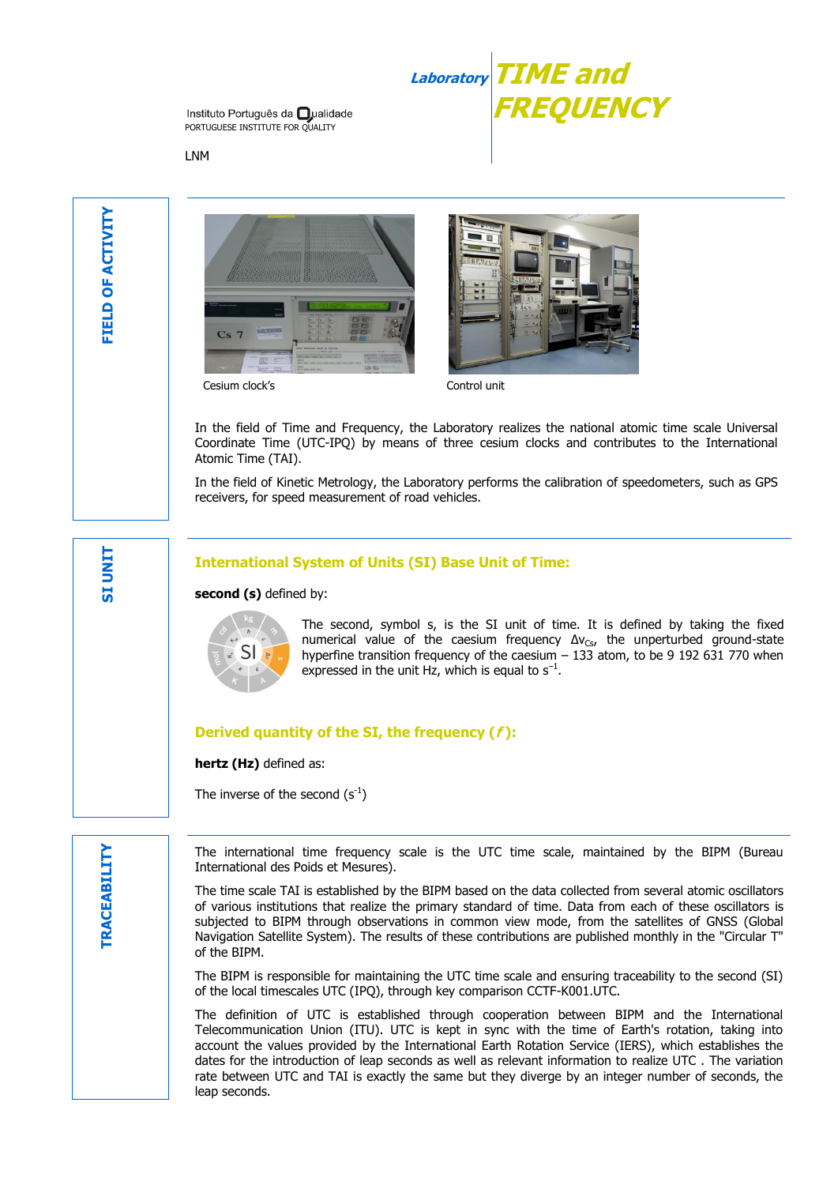

Instituto Português da **O**ualidade PORTUGUESE INSTITUTE FOR OUALITY

LNM

**SI UNIT**





Cesium clock's Control unit

In the field of Time and Frequency, the Laboratory realizes the national atomic time scale Universal Coordinate Time (UTC-IPQ) by means of three cesium clocks and contributes to the International Atomic Time (TAI).

In the field of Kinetic Metrology, the Laboratory performs the calibration of speedometers, such as GPS receivers, for speed measurement of road vehicles.

#### **International System of Units (SI) Base Unit of Time:**

second (s) defined by:



The second, symbol s, is the SI unit of time. It is defined by taking the fixed numerical value of the caesium frequency  $\Delta v_{Cs}$ , the unperturbed ground-state hyperfine transition frequency of the caesium – 133 atom, to be 9 192 631 770 when expressed in the unit Hz, which is equal to  $s^{-1}$ .

## **Derived quantity of the SI, the frequency (f ):**

**hertz (Hz)** defined as:

The inverse of the second  $(s^{-1})$ 

The international time frequency scale is the UTC time scale, maintained by the BIPM (Bureau International des Poids et Mesures).

The time scale TAI is established by the BIPM based on the data collected from several atomic oscillators of various institutions that realize the primary standard of time. Data from each of these oscillators is subjected to BIPM through observations in common view mode, from the satellites of GNSS (Global Navigation Satellite System). The results of these contributions are published monthly in the "Circular T" of the BIPM.

The BIPM is responsible for maintaining the UTC time scale and ensuring traceability to the second (SI) of the local timescales UTC (IPQ), through key comparison CCTF-K001.UTC.

The definition of UTC is established through cooperation between BIPM and the International Telecommunication Union (ITU). UTC is kept in sync with the time of Earth's rotation, taking into account the values provided by the International Earth Rotation Service (IERS), which establishes the dates for the introduction of leap seconds as well as relevant information to realize UTC . The variation rate between UTC and TAI is exactly the same but they diverge by an integer number of seconds, the leap seconds.

**RACEABILITY TRACEABILITY**